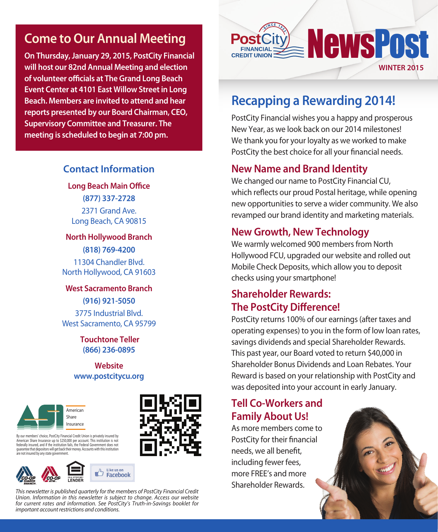## **Come to Our Annual Meeting**

**On Thursday, January 29, 2015, PostCity Financial will host our 82nd Annual Meeting and election of volunteer officials at The Grand Long Beach Event Center at 4101 East Willow Street in Long Beach. Members are invited to attend and hear reports presented by our Board Chairman, CEO, Supervisory Committee and Treasurer. The meeting is scheduled to begin at 7:00 pm.**

#### **Contact Information**

**Long Beach Main Office (877) 337-2728** 2371 Grand Ave. Long Beach, CA 90815

**North Hollywood Branch (818) 769-4200**

11304 Chandler Blvd. North Hollywood, CA 91603

## **West Sacramento Branch**

**(916) 921-5050** 3775 Industrial Blvd. West Sacramento, CA 95799

> **Touchtone Teller (866) 236-0895**

#### **Website www.postcitycu.org**



By our members' choice, PostCity Financial Credit Union is privately insured by American Share Insurance up to \$250,000 per account. This institution is not federally insured, and if the institution fails, the Federal Government does not<br>quarantee that depositors will get back their money. Accounts with this institution are not insured by any state government.





*This newsletter is published quarterly for the members of PostCity Financial Credit Union. Information in this newsletter is subject to change. Access our website for current rates and information. See PostCity's Truth-in-Savings booklet for important account restrictions and conditions.*



## **Recapping a Rewarding 2014!**

PostCity Financial wishes you a happy and prosperous New Year, as we look back on our 2014 milestones! We thank you for your loyalty as we worked to make PostCity the best choice for all your financial needs.

#### **New Name and Brand Identity**

We changed our name to PostCity Financial CU, which reflects our proud Postal heritage, while opening new opportunities to serve a wider community. We also revamped our brand identity and marketing materials.

#### **New Growth, New Technology**

We warmly welcomed 900 members from North Hollywood FCU, upgraded our website and rolled out Mobile Check Deposits, which allow you to deposit checks using your smartphone!

### **Shareholder Rewards: The PostCity Difference!**

PostCity returns 100% of our earnings (after taxes and operating expenses) to you in the form of low loan rates, savings dividends and special Shareholder Rewards. This past year, our Board voted to return \$40,000 in Shareholder Bonus Dividends and Loan Rebates. Your Reward is based on your relationship with PostCity and was deposited into your account in early January.

### **Tell Co-Workers and Family About Us!**

As more members come to PostCity for their financial needs, we all benefit, including fewer fees, more FREE's and more Shareholder Rewards.